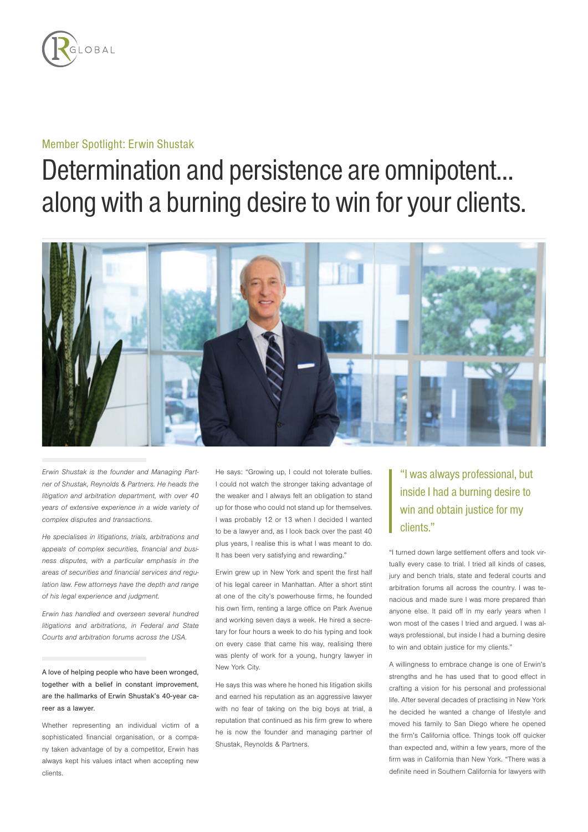

## Member Spotlight: Erwin Shustak

## Determination and persistence are omnipotent… along with a burning desire to win for your clients.



Erwin Shustak is the founder and Managing Partner of Shustak, Reynolds & Partners. He heads the litigation and arbitration department, with over 40 years of extensive experience in a wide variety of complex disputes and transactions.

He specialises in litigations, trials, arbitrations and appeals of complex securities, financial and business disputes, with a particular emphasis in the areas of securities and financial services and regulation law. Few attorneys have the depth and range of his legal experience and judgment.

Erwin has handled and overseen several hundred litigations and arbitrations, in Federal and State Courts and arbitration forums across the USA.

A love of helping people who have been wronged, together with a belief in constant improvement, are the hallmarks of Erwin Shustak's 40-year career as a lawyer.

Whether representing an individual victim of a sophisticated financial organisation, or a company taken advantage of by a competitor, Erwin has always kept his values intact when accepting new clients.

He says: "Growing up, I could not tolerate bullies. I could not watch the stronger taking advantage of the weaker and I always felt an obligation to stand up for those who could not stand up for themselves. I was probably 12 or 13 when I decided I wanted to be a lawyer and, as I look back over the past 40 plus years, I realise this is what I was meant to do. It has been very satisfying and rewarding."

Erwin grew up in New York and spent the first half of his legal career in Manhattan. After a short stint at one of the city's powerhouse firms, he founded his own firm, renting a large office on Park Avenue and working seven days a week. He hired a secretary for four hours a week to do his typing and took on every case that came his way, realising there was plenty of work for a young, hungry lawyer in New York City.

He says this was where he honed his litigation skills and earned his reputation as an aggressive lawyer with no fear of taking on the big boys at trial, a reputation that continued as his firm grew to where he is now the founder and managing partner of Shustak, Reynolds & Partners.

## "I was always professional, but inside I had a burning desire to win and obtain justice for my clients."

"I turned down large settlement offers and took virtually every case to trial. I tried all kinds of cases, jury and bench trials, state and federal courts and arbitration forums all across the country. I was tenacious and made sure I was more prepared than anyone else. It paid off in my early years when I won most of the cases I tried and argued. I was always professional, but inside I had a burning desire to win and obtain justice for my clients."

A willingness to embrace change is one of Erwin's strengths and he has used that to good effect in crafting a vision for his personal and professional life. After several decades of practising in New York he decided he wanted a change of lifestyle and moved his family to San Diego where he opened the firm's California office. Things took off quicker than expected and, within a few years, more of the firm was in California than New York. "There was a definite need in Southern California for lawyers with